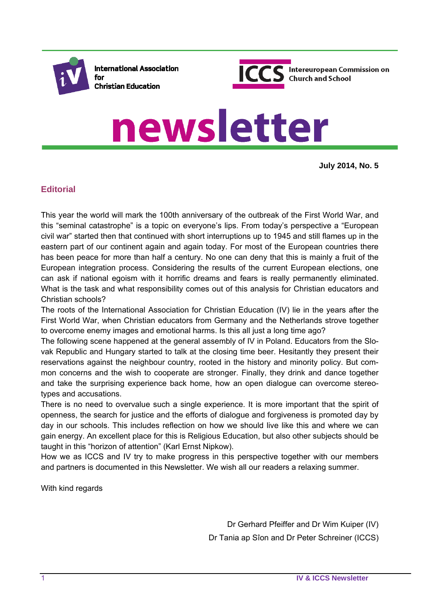

**International Association** for **Christian Education** 



# newsletter

**July 2014, No. 5**

# **Editorial**

This year the world will mark the 100th anniversary of the outbreak of the First World War, and this "seminal catastrophe" is a topic on everyone's lips. From today's perspective a "European civil war" started then that continued with short interruptions up to 1945 and still flames up in the eastern part of our continent again and again today. For most of the European countries there has been peace for more than half a century. No one can deny that this is mainly a fruit of the European integration process. Considering the results of the current European elections, one can ask if national egoism with it horrific dreams and fears is really permanently eliminated. What is the task and what responsibility comes out of this analysis for Christian educators and Christian schools?

The roots of the International Association for Christian Education (IV) lie in the years after the First World War, when Christian educators from Germany and the Netherlands strove together to overcome enemy images and emotional harms. Is this all just a long time ago?

The following scene happened at the general assembly of IV in Poland. Educators from the Slovak Republic and Hungary started to talk at the closing time beer. Hesitantly they present their reservations against the neighbour country, rooted in the history and minority policy. But common concerns and the wish to cooperate are stronger. Finally, they drink and dance together and take the surprising experience back home, how an open dialogue can overcome stereotypes and accusations.

There is no need to overvalue such a single experience. It is more important that the spirit of openness, the search for justice and the efforts of dialogue and forgiveness is promoted day by day in our schools. This includes reflection on how we should live like this and where we can gain energy. An excellent place for this is Religious Education, but also other subjects should be taught in this "horizon of attention" (Karl Ernst Nipkow).

How we as ICCS and IV try to make progress in this perspective together with our members and partners is documented in this Newsletter. We wish all our readers a relaxing summer.

With kind regards

Dr Gerhard Pfeiffer and Dr Wim Kuiper (IV) Dr Tania ap Sîon and Dr Peter Schreiner (ICCS)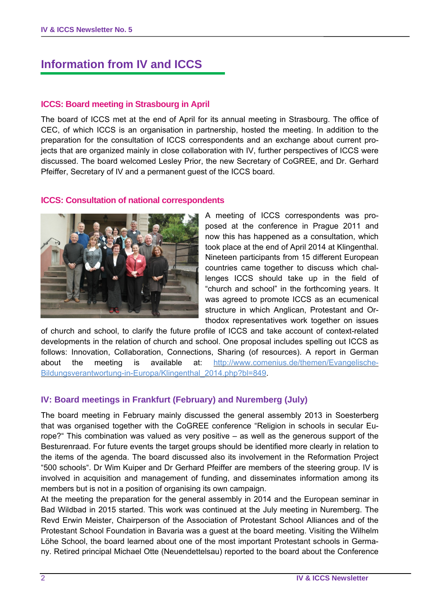# **Information from IV and ICCS**

#### **ICCS: Board meeting in Strasbourg in April**

The board of ICCS met at the end of April for its annual meeting in Strasbourg. The office of CEC, of which ICCS is an organisation in partnership, hosted the meeting. In addition to the preparation for the consultation of ICCS correspondents and an exchange about current projects that are organized mainly in close collaboration with IV, further perspectives of ICCS were discussed. The board welcomed Lesley Prior, the new Secretary of CoGREE, and Dr. Gerhard Pfeiffer, Secretary of IV and a permanent guest of the ICCS board.

#### **ICCS: Consultation of national correspondents**



A meeting of ICCS correspondents was proposed at the conference in Prague 2011 and now this has happened as a consultation, which took place at the end of April 2014 at Klingenthal. Nineteen participants from 15 different European countries came together to discuss which challenges ICCS should take up in the field of "church and school" in the forthcoming years. It was agreed to promote ICCS as an ecumenical structure in which Anglican, Protestant and Orthodox representatives work together on issues

of church and school, to clarify the future profile of ICCS and take account of context-related developments in the relation of church and school. One proposal includes spelling out ICCS as follows: Innovation, Collaboration, Connections, Sharing (of resources). A report in German about the meeting is available at: http://www.comenius.de/themen/Evangelische-Bildungsverantwortung-in-Europa/Klingenthal\_2014.php?bl=849.

## **IV: Board meetings in Frankfurt (February) and Nuremberg (July)**

The board meeting in February mainly discussed the general assembly 2013 in Soesterberg that was organised together with the CoGREE conference "Religion in schools in secular Europe?" This combination was valued as very positive – as well as the generous support of the Besturenraad. For future events the target groups should be identified more clearly in relation to the items of the agenda. The board discussed also its involvement in the Reformation Project "500 schools". Dr Wim Kuiper and Dr Gerhard Pfeiffer are members of the steering group. IV is involved in acquisition and management of funding, and disseminates information among its members but is not in a position of organising its own campaign.

At the meeting the preparation for the general assembly in 2014 and the European seminar in Bad Wildbad in 2015 started. This work was continued at the July meeting in Nuremberg. The Revd Erwin Meister, Chairperson of the Association of Protestant School Alliances and of the Protestant School Foundation in Bavaria was a guest at the board meeting. Visiting the Wilhelm Löhe School, the board learned about one of the most important Protestant schools in Germany. Retired principal Michael Otte (Neuendettelsau) reported to the board about the Conference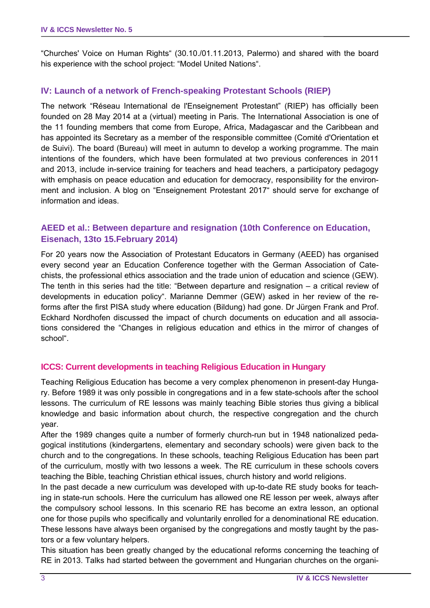"Churches' Voice on Human Rights" (30.10./01.11.2013, Palermo) and shared with the board his experience with the school project: "Model United Nations".

## **IV: Launch of a network of French-speaking Protestant Schools (RIEP)**

The network "Réseau International de l'Enseignement Protestant" (RIEP) has officially been founded on 28 May 2014 at a (virtual) meeting in Paris. The International Association is one of the 11 founding members that come from Europe, Africa, Madagascar and the Caribbean and has appointed its Secretary as a member of the responsible committee (Comité d'Orientation et de Suivi). The board (Bureau) will meet in autumn to develop a working programme. The main intentions of the founders, which have been formulated at two previous conferences in 2011 and 2013, include in-service training for teachers and head teachers, a participatory pedagogy with emphasis on peace education and education for democracy, responsibility for the environment and inclusion. A blog on "Enseignement Protestant 2017" should serve for exchange of information and ideas.

## **AEED et al.: Between departure and resignation (10th Conference on Education, Eisenach, 13to 15.February 2014)**

For 20 years now the Association of Protestant Educators in Germany (AEED) has organised every second year an Education Conference together with the German Association of Catechists, the professional ethics association and the trade union of education and science (GEW). The tenth in this series had the title: "Between departure and resignation – a critical review of developments in education policy". Marianne Demmer (GEW) asked in her review of the reforms after the first PISA study where education (Bildung) had gone. Dr Jürgen Frank and Prof. Eckhard Nordhofen discussed the impact of church documents on education and all associations considered the "Changes in religious education and ethics in the mirror of changes of school".

#### **ICCS: Current developments in teaching Religious Education in Hungary**

Teaching Religious Education has become a very complex phenomenon in present-day Hungary. Before 1989 it was only possible in congregations and in a few state-schools after the school lessons. The curriculum of RE lessons was mainly teaching Bible stories thus giving a biblical knowledge and basic information about church, the respective congregation and the church year.

After the 1989 changes quite a number of formerly church-run but in 1948 nationalized pedagogical institutions (kindergartens, elementary and secondary schools) were given back to the church and to the congregations. In these schools, teaching Religious Education has been part of the curriculum, mostly with two lessons a week. The RE curriculum in these schools covers teaching the Bible, teaching Christian ethical issues, church history and world religions.

In the past decade a new curriculum was developed with up-to-date RE study books for teaching in state-run schools. Here the curriculum has allowed one RE lesson per week, always after the compulsory school lessons. In this scenario RE has become an extra lesson, an optional one for those pupils who specifically and voluntarily enrolled for a denominational RE education. These lessons have always been organised by the congregations and mostly taught by the pastors or a few voluntary helpers.

This situation has been greatly changed by the educational reforms concerning the teaching of RE in 2013. Talks had started between the government and Hungarian churches on the organi-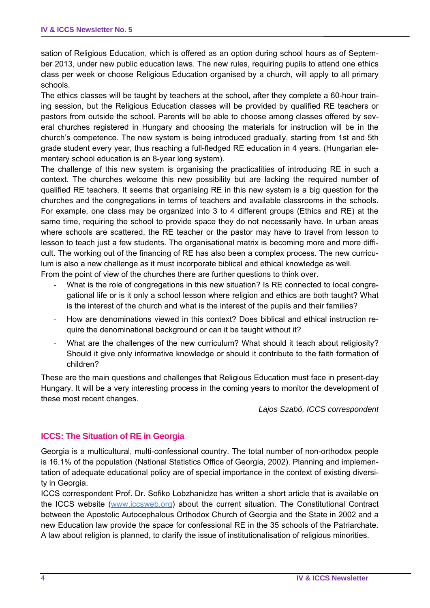sation of Religious Education, which is offered as an option during school hours as of September 2013, under new public education laws. The new rules, requiring pupils to attend one ethics class per week or choose Religious Education organised by a church, will apply to all primary schools.

The ethics classes will be taught by teachers at the school, after they complete a 60-hour training session, but the Religious Education classes will be provided by qualified RE teachers or pastors from outside the school. Parents will be able to choose among classes offered by several churches registered in Hungary and choosing the materials for instruction will be in the church's competence. The new system is being introduced gradually, starting from 1st and 5th grade student every year, thus reaching a full-fledged RE education in 4 years. (Hungarian elementary school education is an 8-year long system).

The challenge of this new system is organising the practicalities of introducing RE in such a context. The churches welcome this new possibility but are lacking the required number of qualified RE teachers. It seems that organising RE in this new system is a big question for the churches and the congregations in terms of teachers and available classrooms in the schools. For example, one class may be organized into 3 to 4 different groups (Ethics and RE) at the same time, requiring the school to provide space they do not necessarily have. In urban areas where schools are scattered, the RE teacher or the pastor may have to travel from lesson to lesson to teach just a few students. The organisational matrix is becoming more and more difficult. The working out of the financing of RE has also been a complex process. The new curriculum is also a new challenge as it must incorporate biblical and ethical knowledge as well. From the point of view of the churches there are further questions to think over.

- What is the role of congregations in this new situation? Is RE connected to local congregational life or is it only a school lesson where religion and ethics are both taught? What is the interest of the church and what is the interest of the pupils and their families?
- ‐ How are denominations viewed in this context? Does biblical and ethical instruction require the denominational background or can it be taught without it?
- What are the challenges of the new curriculum? What should it teach about religiosity? Should it give only informative knowledge or should it contribute to the faith formation of children?

These are the main questions and challenges that Religious Education must face in present-day Hungary. It will be a very interesting process in the coming years to monitor the development of these most recent changes.

*Lajos Szabó, ICCS correspondent* 

#### **ICCS: The Situation of RE in Georgia**

Georgia is a multicultural, multi-confessional country. The total number of non-orthodox people is 16.1% of the population (National Statistics Office of Georgia, 2002). Planning and implementation of adequate educational policy are of special importance in the context of existing diversity in Georgia.

ICCS correspondent Prof. Dr. Sofiko Lobzhanidze has written a short article that is available on the ICCS website (www.iccsweb.org) about the current situation. The Constitutional Contract between the Apostolic Autocephalous Orthodox Church of Georgia and the State in 2002 and a new Education law provide the space for confessional RE in the 35 schools of the Patriarchate. A law about religion is planned, to clarify the issue of institutionalisation of religious minorities.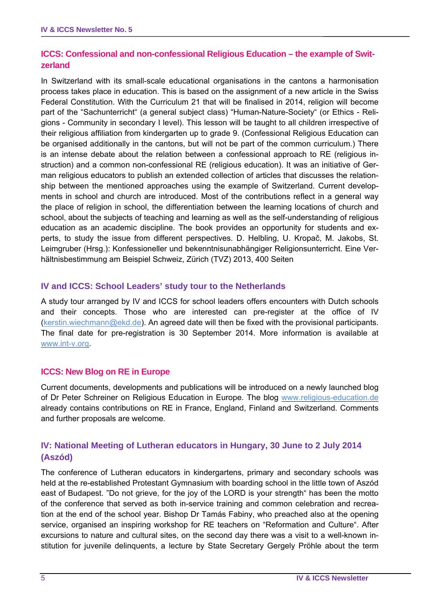# **ICCS: Confessional and non-confessional Religious Education – the example of Switzerland**

In Switzerland with its small-scale educational organisations in the cantons a harmonisation process takes place in education. This is based on the assignment of a new article in the Swiss Federal Constitution. With the Curriculum 21 that will be finalised in 2014, religion will become part of the "Sachunterricht" (a general subject class) "Human-Nature-Society" (or Ethics - Religions - Community in secondary I level). This lesson will be taught to all children irrespective of their religious affiliation from kindergarten up to grade 9. (Confessional Religious Education can be organised additionally in the cantons, but will not be part of the common curriculum.) There is an intense debate about the relation between a confessional approach to RE (religious instruction) and a common non-confessional RE (religious education). It was an initiative of German religious educators to publish an extended collection of articles that discusses the relationship between the mentioned approaches using the example of Switzerland. Current developments in school and church are introduced. Most of the contributions reflect in a general way the place of religion in school, the differentiation between the learning locations of church and school, about the subjects of teaching and learning as well as the self-understanding of religious education as an academic discipline. The book provides an opportunity for students and experts, to study the issue from different perspectives. D. Helbling, U. Kropač, M. Jakobs, St. Leimgruber (Hrsg.): Konfessioneller und bekenntnisunabhängiger Religionsunterricht. Eine Verhältnisbestimmung am Beispiel Schweiz, Zürich (TVZ) 2013, 400 Seiten

#### **IV and ICCS: School Leaders' study tour to the Netherlands**

A study tour arranged by IV and ICCS for school leaders offers encounters with Dutch schools and their concepts. Those who are interested can pre-register at the office of IV (kerstin.wiechmann@ekd.de). An agreed date will then be fixed with the provisional participants. The final date for pre-registration is 30 September 2014. More information is available at www.int-v.org.

#### **ICCS: New Blog on RE in Europe**

Current documents, developments and publications will be introduced on a newly launched blog of Dr Peter Schreiner on Religious Education in Europe. The blog www.religious-education.de already contains contributions on RE in France, England, Finland and Switzerland. Comments and further proposals are welcome.

## **IV: National Meeting of Lutheran educators in Hungary, 30 June to 2 July 2014 (Aszód)**

The conference of Lutheran educators in kindergartens, primary and secondary schools was held at the re-established Protestant Gymnasium with boarding school in the little town of Aszód east of Budapest. "Do not grieve, for the joy of the LORD is your strength" has been the motto of the conference that served as both in-service training and common celebration and recreation at the end of the school year. Bishop Dr Tamás Fabiny, who preached also at the opening service, organised an inspiring workshop for RE teachers on "Reformation and Culture". After excursions to nature and cultural sites, on the second day there was a visit to a well-known institution for juvenile delinquents, a lecture by State Secretary Gergely Pröhle about the term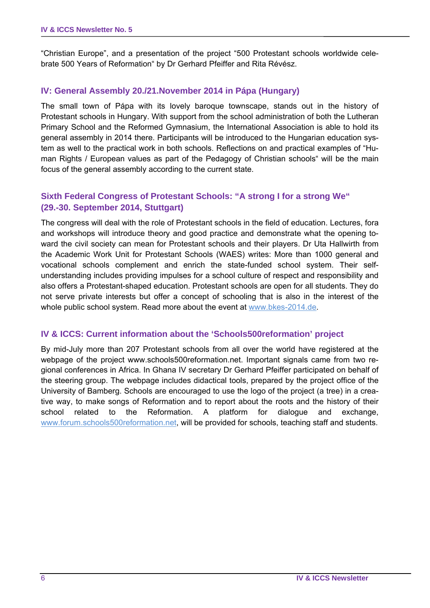"Christian Europe", and a presentation of the project "500 Protestant schools worldwide celebrate 500 Years of Reformation" by Dr Gerhard Pfeiffer and Rita Révész.

#### **IV: General Assembly 20./21.November 2014 in Pápa (Hungary)**

The small town of Pápa with its lovely baroque townscape, stands out in the history of Protestant schools in Hungary. With support from the school administration of both the Lutheran Primary School and the Reformed Gymnasium, the International Association is able to hold its general assembly in 2014 there. Participants will be introduced to the Hungarian education system as well to the practical work in both schools. Reflections on and practical examples of "Human Rights / European values as part of the Pedagogy of Christian schools" will be the main focus of the general assembly according to the current state.

## **Sixth Federal Congress of Protestant Schools: "A strong I for a strong We" (29.-30. September 2014, Stuttgart)**

The congress will deal with the role of Protestant schools in the field of education. Lectures, fora and workshops will introduce theory and good practice and demonstrate what the opening toward the civil society can mean for Protestant schools and their players. Dr Uta Hallwirth from the Academic Work Unit for Protestant Schools (WAES) writes: More than 1000 general and vocational schools complement and enrich the state-funded school system. Their selfunderstanding includes providing impulses for a school culture of respect and responsibility and also offers a Protestant-shaped education. Protestant schools are open for all students. They do not serve private interests but offer a concept of schooling that is also in the interest of the whole public school system. Read more about the event at www.bkes-2014.de.

#### **IV & ICCS: Current information about the 'Schools500reformation' project**

By mid-July more than 207 Protestant schools from all over the world have registered at the webpage of the project www.schools500reformation.net. Important signals came from two regional conferences in Africa. In Ghana IV secretary Dr Gerhard Pfeiffer participated on behalf of the steering group. The webpage includes didactical tools, prepared by the project office of the University of Bamberg. Schools are encouraged to use the logo of the project (a tree) in a creative way, to make songs of Reformation and to report about the roots and the history of their school related to the Reformation. A platform for dialogue and exchange, www.forum.schools500reformation.net, will be provided for schools, teaching staff and students.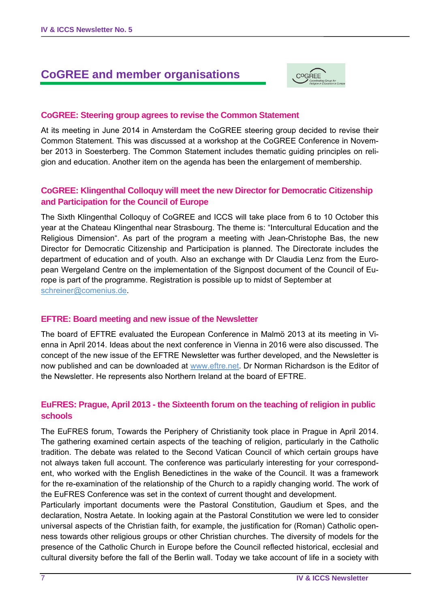# **CoGREE and member organisations**



#### **CoGREE: Steering group agrees to revise the Common Statement**

At its meeting in June 2014 in Amsterdam the CoGREE steering group decided to revise their Common Statement. This was discussed at a workshop at the CoGREE Conference in November 2013 in Soesterberg. The Common Statement includes thematic guiding principles on religion and education. Another item on the agenda has been the enlargement of membership.

#### **CoGREE: Klingenthal Colloquy will meet the new Director for Democratic Citizenship and Participation for the Council of Europe**

The Sixth Klingenthal Colloquy of CoGREE and ICCS will take place from 6 to 10 October this year at the Chateau Klingenthal near Strasbourg. The theme is: "Intercultural Education and the Religious Dimension". As part of the program a meeting with Jean-Christophe Bas, the new Director for Democratic Citizenship and Participation is planned. The Directorate includes the department of education and of youth. Also an exchange with Dr Claudia Lenz from the European Wergeland Centre on the implementation of the Signpost document of the Council of Europe is part of the programme. Registration is possible up to midst of September at schreiner@comenius.de.

#### **EFTRE: Board meeting and new issue of the Newsletter**

The board of EFTRE evaluated the European Conference in Malmö 2013 at its meeting in Vienna in April 2014. Ideas about the next conference in Vienna in 2016 were also discussed. The concept of the new issue of the EFTRE Newsletter was further developed, and the Newsletter is now published and can be downloaded at www.eftre.net. Dr Norman Richardson is the Editor of the Newsletter. He represents also Northern Ireland at the board of EFTRE.

#### **EuFRES: Prague, April 2013 - the Sixteenth forum on the teaching of religion in public schools**

The EuFRES forum, Towards the Periphery of Christianity took place in Prague in April 2014. The gathering examined certain aspects of the teaching of religion, particularly in the Catholic tradition. The debate was related to the Second Vatican Council of which certain groups have not always taken full account. The conference was particularly interesting for your correspondent, who worked with the English Benedictines in the wake of the Council. It was a framework for the re-examination of the relationship of the Church to a rapidly changing world. The work of the EuFRES Conference was set in the context of current thought and development.

Particularly important documents were the Pastoral Constitution, Gaudium et Spes, and the declaration, Nostra Aetate. In looking again at the Pastoral Constitution we were led to consider universal aspects of the Christian faith, for example, the justification for (Roman) Catholic openness towards other religious groups or other Christian churches. The diversity of models for the presence of the Catholic Church in Europe before the Council reflected historical, ecclesial and cultural diversity before the fall of the Berlin wall. Today we take account of life in a society with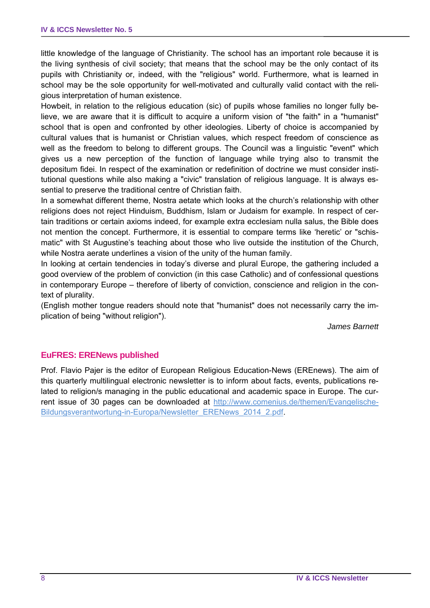little knowledge of the language of Christianity. The school has an important role because it is the living synthesis of civil society; that means that the school may be the only contact of its pupils with Christianity or, indeed, with the "religious" world. Furthermore, what is learned in school may be the sole opportunity for well-motivated and culturally valid contact with the religious interpretation of human existence.

Howbeit, in relation to the religious education (sic) of pupils whose families no longer fully believe, we are aware that it is difficult to acquire a uniform vision of "the faith" in a "humanist" school that is open and confronted by other ideologies. Liberty of choice is accompanied by cultural values that is humanist or Christian values, which respect freedom of conscience as well as the freedom to belong to different groups. The Council was a linguistic "event" which gives us a new perception of the function of language while trying also to transmit the depositum fidei. In respect of the examination or redefinition of doctrine we must consider institutional questions while also making a "civic" translation of religious language. It is always essential to preserve the traditional centre of Christian faith.

In a somewhat different theme, Nostra aetate which looks at the church's relationship with other religions does not reject Hinduism, Buddhism, Islam or Judaism for example. In respect of certain traditions or certain axioms indeed, for example extra ecclesiam nulla salus, the Bible does not mention the concept. Furthermore, it is essential to compare terms like 'heretic' or "schismatic" with St Augustine's teaching about those who live outside the institution of the Church, while Nostra aerate underlines a vision of the unity of the human family.

In looking at certain tendencies in today's diverse and plural Europe, the gathering included a good overview of the problem of conviction (in this case Catholic) and of confessional questions in contemporary Europe – therefore of liberty of conviction, conscience and religion in the context of plurality.

(English mother tongue readers should note that "humanist" does not necessarily carry the implication of being "without religion").

*James Barnett* 

## **EuFRES: ERENews published**

Prof. Flavio Pajer is the editor of European Religious Education-News (EREnews). The aim of this quarterly multilingual electronic newsletter is to inform about facts, events, publications related to religion/s managing in the public educational and academic space in Europe. The current issue of 30 pages can be downloaded at http://www.comenius.de/themen/Evangelische-Bildungsverantwortung-in-Europa/Newsletter\_ERENews\_2014\_2.pdf.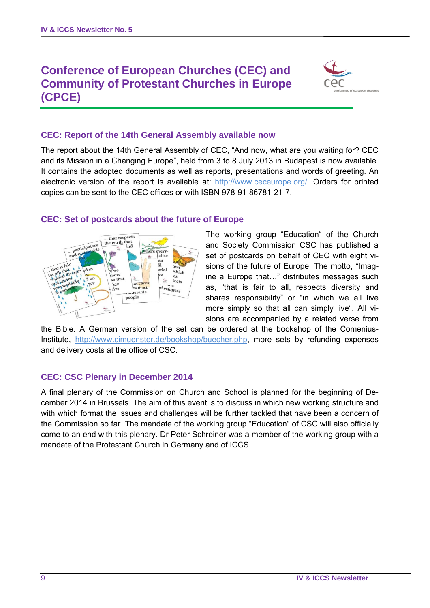# **Conference of European Churches (CEC) and Community of Protestant Churches in Europe (CPCE)**



#### **CEC: Report of the 14th General Assembly available now**

The report about the 14th General Assembly of CEC, "And now, what are you waiting for? CEC and its Mission in a Changing Europe", held from 3 to 8 July 2013 in Budapest is now available. It contains the adopted documents as well as reports, presentations and words of greeting. An electronic version of the report is available at: http://www.ceceurope.org/. Orders for printed copies can be sent to the CEC offices or with ISBN 978-91-86781-21-7.



#### **CEC: Set of postcards about the future of Europe**

The working group "Education" of the Church and Society Commission CSC has published a set of postcards on behalf of CEC with eight visions of the future of Europe. The motto, "Imagine a Europe that…" distributes messages such as, "that is fair to all, respects diversity and shares responsibility" or "in which we all live more simply so that all can simply live". All visions are accompanied by a related verse from

the Bible. A German version of the set can be ordered at the bookshop of the Comenius-Institute, http://www.cimuenster.de/bookshop/buecher.php, more sets by refunding expenses and delivery costs at the office of CSC.

#### **CEC: CSC Plenary in December 2014**

A final plenary of the Commission on Church and School is planned for the beginning of December 2014 in Brussels. The aim of this event is to discuss in which new working structure and with which format the issues and challenges will be further tackled that have been a concern of the Commission so far. The mandate of the working group "Education" of CSC will also officially come to an end with this plenary. Dr Peter Schreiner was a member of the working group with a mandate of the Protestant Church in Germany and of ICCS.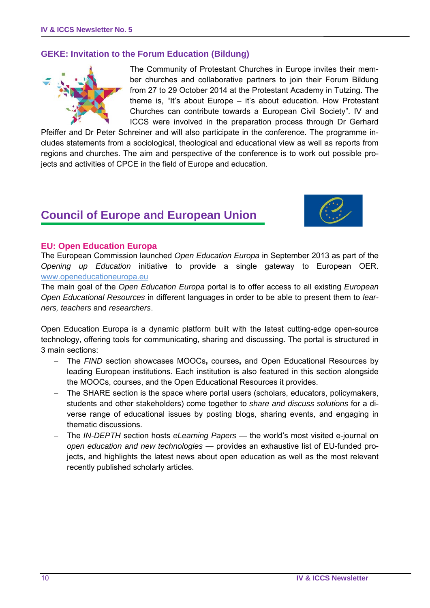#### **GEKE: Invitation to the Forum Education (Bildung)**



The Community of Protestant Churches in Europe invites their member churches and collaborative partners to join their Forum Bildung from 27 to 29 October 2014 at the Protestant Academy in Tutzing. The theme is, "It's about Europe – it's about education. How Protestant Churches can contribute towards a European Civil Society". IV and ICCS were involved in the preparation process through Dr Gerhard

Pfeiffer and Dr Peter Schreiner and will also participate in the conference. The programme includes statements from a sociological, theological and educational view as well as reports from regions and churches. The aim and perspective of the conference is to work out possible projects and activities of CPCE in the field of Europe and education.

# **Council of Europe and European Union**



#### **EU: Open Education Europa**

The European Commission launched *Open Education Europa* in September 2013 as part of the *Opening up Education* initiative to provide a single gateway to European OER. www.openeducationeuropa.eu

The main goal of the *Open Education Europa* portal is to offer access to all existing *European Open Educational Resources* in different languages in order to be able to present them to *learners, teachers* and *researchers*.

Open Education Europa is a dynamic platform built with the latest cutting-edge open-source technology, offering tools for communicating, sharing and discussing. The portal is structured in 3 main sections:

- The *FIND* section showcases MOOCs**,** courses**,** and Open Educational Resources by leading European institutions. Each institution is also featured in this section alongside the MOOCs, courses, and the Open Educational Resources it provides.
- The SHARE section is the space where portal users (scholars, educators, policymakers, students and other stakeholders) come together to *share and discuss solutions* for a diverse range of educational issues by posting blogs, sharing events, and engaging in thematic discussions.
- The *IN-DEPTH* section hosts *eLearning Papers* the world's most visited e-journal on *open education and new technologies* — provides an exhaustive list of EU-funded projects, and highlights the latest news about open education as well as the most relevant recently published scholarly articles.